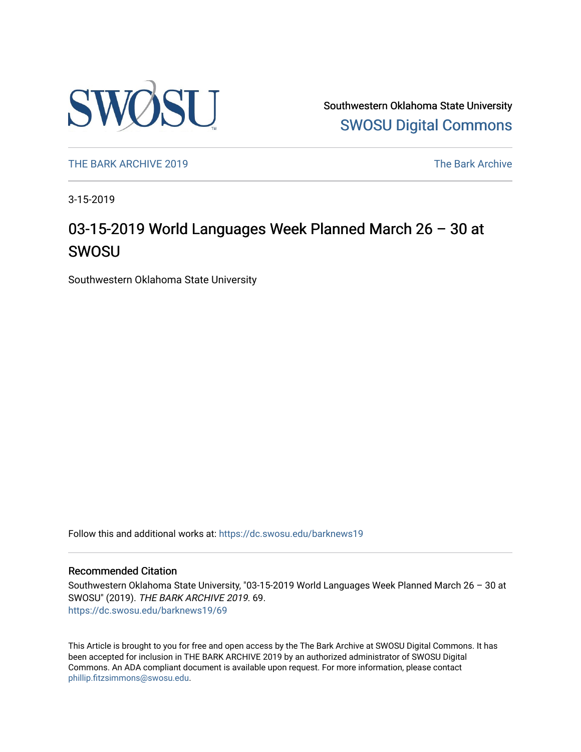

Southwestern Oklahoma State University [SWOSU Digital Commons](https://dc.swosu.edu/) 

[THE BARK ARCHIVE 2019](https://dc.swosu.edu/barknews19) The Bark Archive

3-15-2019

### 03-15-2019 World Languages Week Planned March 26 – 30 at SWOSU

Southwestern Oklahoma State University

Follow this and additional works at: [https://dc.swosu.edu/barknews19](https://dc.swosu.edu/barknews19?utm_source=dc.swosu.edu%2Fbarknews19%2F69&utm_medium=PDF&utm_campaign=PDFCoverPages)

#### Recommended Citation

Southwestern Oklahoma State University, "03-15-2019 World Languages Week Planned March 26 – 30 at SWOSU" (2019). THE BARK ARCHIVE 2019. 69. [https://dc.swosu.edu/barknews19/69](https://dc.swosu.edu/barknews19/69?utm_source=dc.swosu.edu%2Fbarknews19%2F69&utm_medium=PDF&utm_campaign=PDFCoverPages) 

This Article is brought to you for free and open access by the The Bark Archive at SWOSU Digital Commons. It has been accepted for inclusion in THE BARK ARCHIVE 2019 by an authorized administrator of SWOSU Digital Commons. An ADA compliant document is available upon request. For more information, please contact [phillip.fitzsimmons@swosu.edu](mailto:phillip.fitzsimmons@swosu.edu).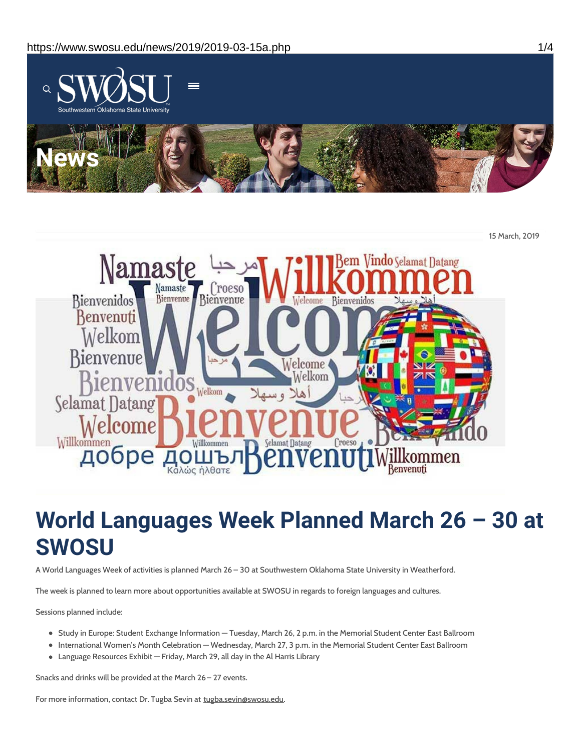

15 March, 2019



# **World Languages Week Planned March 26 – 30 at SWOSU**

A World Languages Week of activities is planned March 26 – 30 at Southwestern Oklahoma State University in Weatherford.

The week is planned to learn more about opportunities available at SWOSU in regards to foreign languages and cultures.

Sessions planned include:

- Study in Europe: Student Exchange Information Tuesday, March 26, 2 p.m. in the Memorial Student Center East Ballroom
- International Women's Month Celebration Wednesday, March 27, 3 p.m. in the Memorial Student Center East Ballroom
- Language Resources Exhibit Friday, March 29, all day in the Al Harris Library

Snacks and drinks will be provided at the March 26– 27 events.

For more information, contact Dr. Tugba Sevin at tugba.sevin@swosu.edu.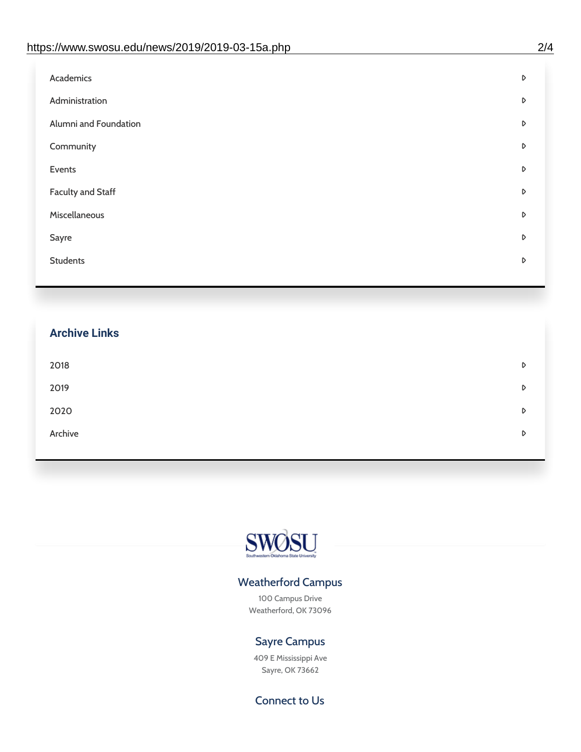| D |
|---|
| D |
| D |
| D |
| D |
| D |
| D |
| D |
| D |
|   |

## **Archive Links**  $2018$  $2019$ [2020](https://www.swosu.edu/news/2020/index.php)  $\bullet$ [Archive](https://dc.swosu.edu/bark/) **Archive Archive Archive Archive Archive** Archive Archive Archive Archive Archive Archive Archive Archive



#### Weatherford Campus

100 Campus Drive Weatherford, OK 73096

### Sayre Campus

409 E Mississippi Ave Sayre, OK 73662

Connect to Us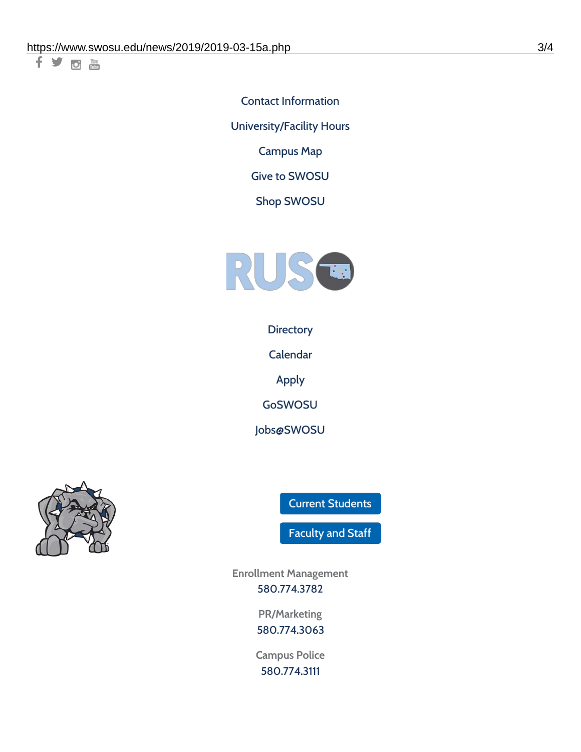千岁回调

Contact [Information](https://www.swosu.edu/about/contact.php) [University/Facility](https://www.swosu.edu/about/operating-hours.php) Hours [Campus](https://map.concept3d.com/?id=768#!ct/10964,10214,10213,10212,10205,10204,10203,10202,10136,10129,10128,0,31226,10130,10201,10641,0) Map

Give to [SWOSU](https://standingfirmly.com/donate)

Shop [SWOSU](https://shopswosu.merchorders.com/)



**[Directory](https://www.swosu.edu/directory/index.php)** 

[Calendar](https://eventpublisher.dudesolutions.com/swosu/)

[Apply](https://www.swosu.edu/admissions/apply-to-swosu.php)

[GoSWOSU](https://qlsso.quicklaunchsso.com/home/1267)

[Jobs@SWOSU](https://swosu.csod.com/ux/ats/careersite/1/home?c=swosu)



Current [Students](https://bulldog.swosu.edu/index.php)

[Faculty](https://bulldog.swosu.edu/faculty-staff/index.php) and Staff

**Enrollment Management** [580.774.3782](tel:5807743782)

> **PR/Marketing** [580.774.3063](tel:5807743063)

**Campus Police** [580.774.3111](tel:5807743111)